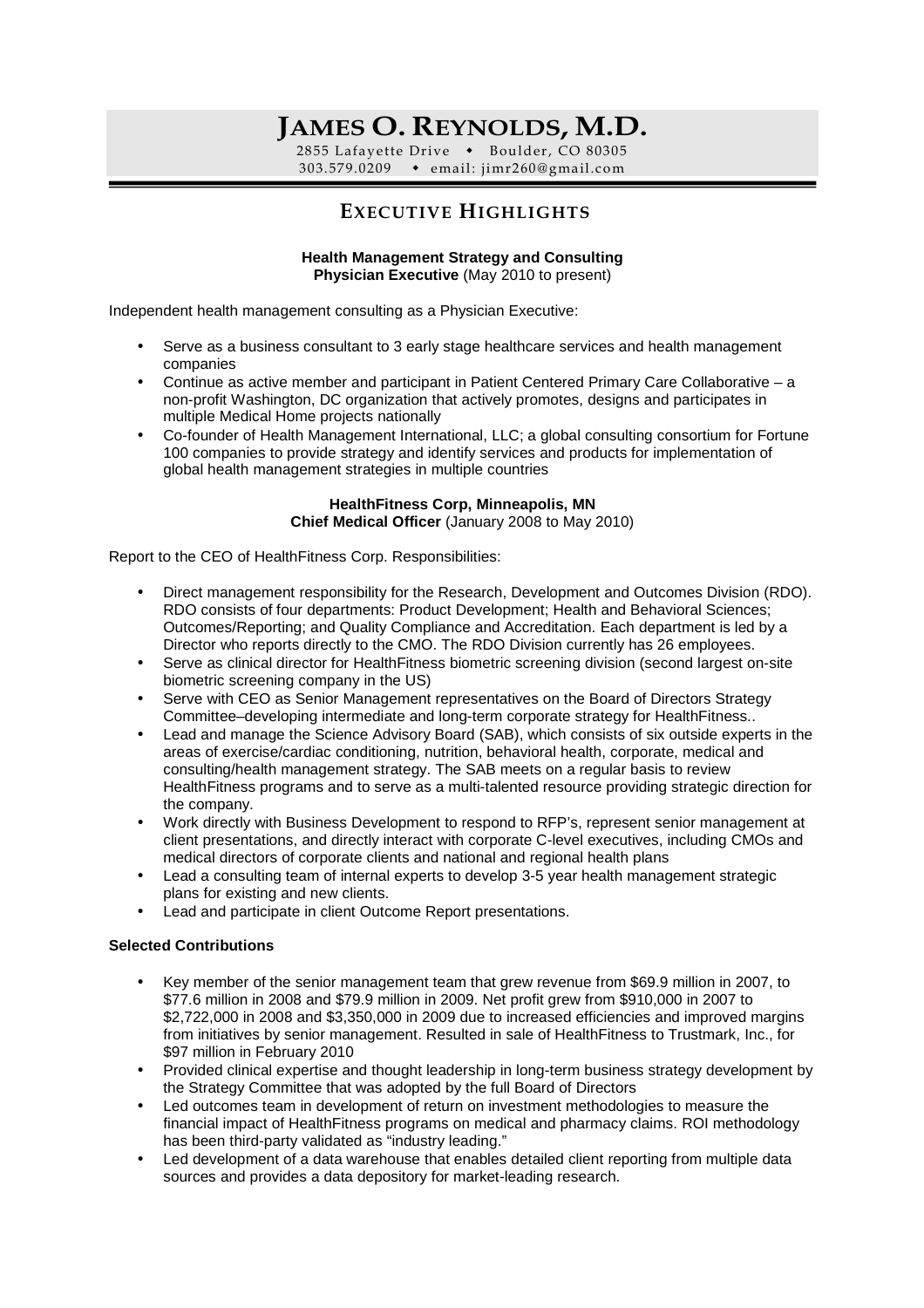# **JAMES O. REYNOLDS, M.D.**

2855 Lafayette Drive • Boulder, CO 80305 303.579.0209 email : jimr260@gmail.co m

# **EXECUTIVE HIGHLIGHTS**

#### **Health Management Strategy and Consulting Physician Executive** (May 2010 to present)

Independent health management consulting as a Physician Executive:

- Serve as a business consultant to 3 early stage healthcare services and health management companies
- Continue as active member and participant in Patient Centered Primary Care Collaborative a non-profit Washington, DC organization that actively promotes, designs and participates in multiple Medical Home projects nationally
- Co-founder of Health Management International, LLC; a global consulting consortium for Fortune 100 companies to provide strategy and identify services and products for implementation of global health management strategies in multiple countries

#### **HealthFitness Corp, Minneapolis, MN Chief Medical Officer** (January 2008 to May 2010)

Report to the CEO of HealthFitness Corp. Responsibilities:

- Direct management responsibility for the Research, Development and Outcomes Division (RDO). RDO consists of four departments: Product Development; Health and Behavioral Sciences; Outcomes/Reporting; and Quality Compliance and Accreditation. Each department is led by a Director who reports directly to the CMO. The RDO Division currently has 26 employees.
- Serve as clinical director for Health Fitness biometric screening division (second largest on-site biometric screening company in the US)
- Serve with CEO as Senior Management representatives on the Board of Directors Strategy Committee–developing intermediate and long-term corporate strategy for HealthFitness..
- Lead and manage the Science Advisory Board (SAB), which consists of six outside experts in the areas of exercise/cardiac conditioning, nutrition, behavioral health, corporate, medical and consulting/health management strategy. The SAB meets on a regular basis to review HealthFitness programs and to serve as a multi-talented resource providing strategic direction for the company.
- Work directly with Business Development to respond to RFP's, represent senior management at client presentations, and directly interact with corporate C-level executives, including CMOs and medical directors of corporate clients and national and regional health plans
- Lead a consulting team of internal experts to develop 3-5 year health management strategic plans for existing and new clients.
- Lead and participate in client Outcome Report presentations.

#### **Selected Contributions**

- Key member of the senior management team that grew revenue from \$69.9 million in 2007, to \$77.6 million in 2008 and \$79.9 million in 2009. Net profit grew from \$910,000 in 2007 to \$2,722,000 in 2008 and \$3,350,000 in 2009 due to increased efficiencies and improved margins from initiatives by senior management. Resulted in sale of HealthFitness to Trustmark, Inc., for \$97 million in February 2010
- Provided clinical expertise and thought leadership in long-term business strategy development by the Strategy Committee that was adopted by the full Board of Directors
- Led outcomes team in development of return on investment methodologies to measure the financial impact of HealthFitness programs on medical and pharmacy claims. ROI methodology has been third-party validated as "industry leading."
- Led development of a data warehouse that enables detailed client reporting from multiple data sources and provides a data depository for market-leading research.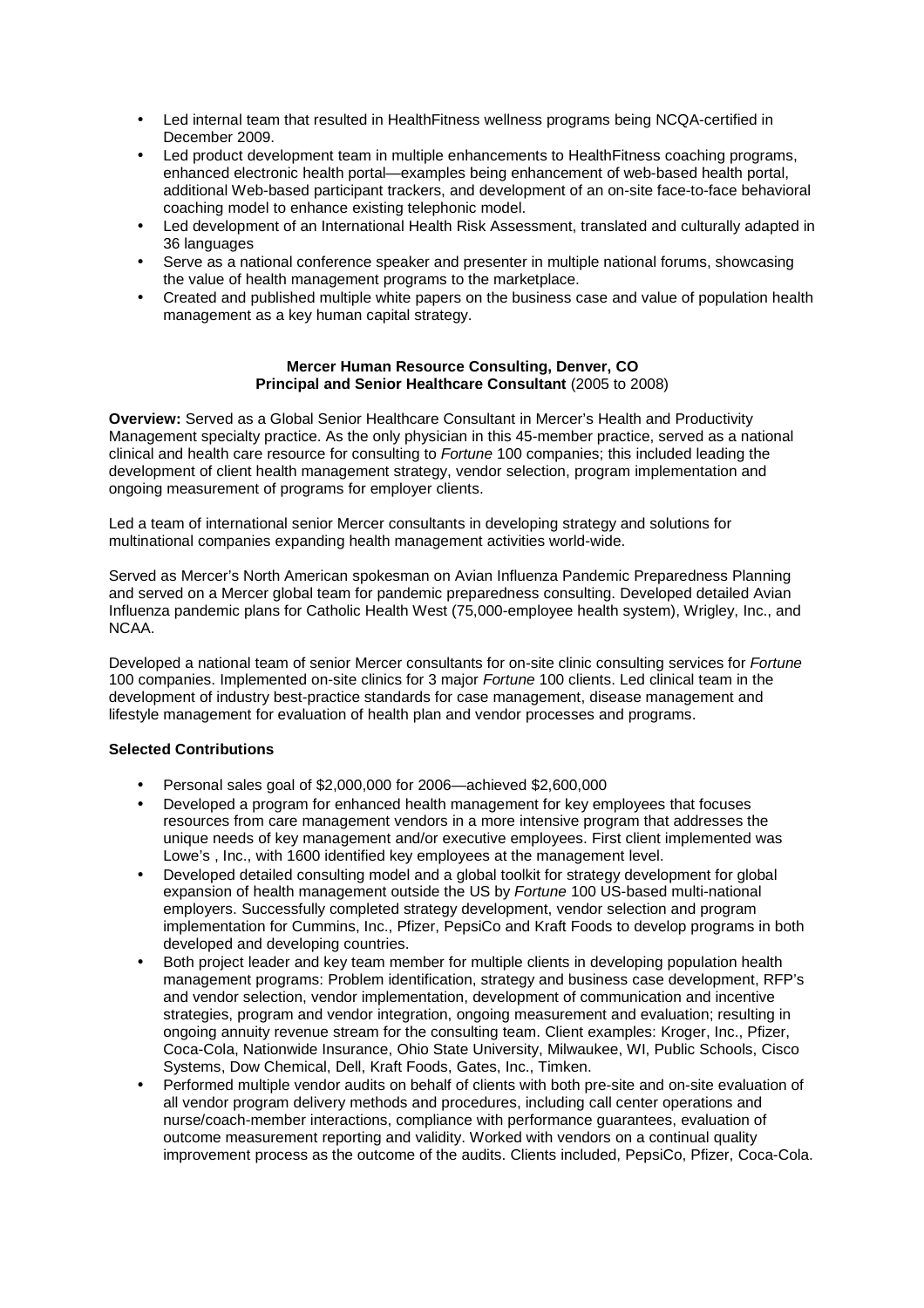- Led internal team that resulted in HealthFitness wellness programs being NCQA-certified in December 2009.
- Led product development team in multiple enhancements to HealthFitness coaching programs, enhanced electronic health portal—examples being enhancement of web-based health portal, additional Web-based participant trackers, and development of an on-site face-to-face behavioral coaching model to enhance existing telephonic model.
- Led development of an International Health Risk Assessment, translated and culturally adapted in 36 languages
- Serve as a national conference speaker and presenter in multiple national forums, showcasing the value of health management programs to the marketplace.
- Created and published multiple white papers on the business case and value of population health management as a key human capital strategy.

#### **Mercer Human Resource Consulting, Denver, CO Principal and Senior Healthcare Consultant (2005 to 2008)**

**Overview:** Served as a Global Senior Healthcare Consultant in Mercer's Health and Productivity Management specialty practice. As the only physician in this 45-member practice, served as a national clinical and health care resource for consulting to Fortune 100 companies; this included leading the development of client health management strategy, vendor selection, program implementation and ongoing measurement of programs for employer clients.

Led a team of international senior Mercer consultants in developing strategy and solutions for multinational companies expanding health management activities world-wide.

Served as Mercer's North American spokesman on Avian Influenza Pandemic Preparedness Planning and served on a Mercer global team for pandemic preparedness consulting. Developed detailed Avian Influenza pandemic plans for Catholic Health West (75,000-employee health system), Wrigley, Inc., and NCAA.

Developed a national team of senior Mercer consultants for on-site clinic consulting services for Fortune 100 companies. Implemented on-site clinics for 3 major *Fortune* 100 clients. Led clinical team in the development of industry best-practice standards for case management, disease management and lifestyle management for evaluation of health plan and vendor processes and programs.

#### **Selected Contributions**

- Personal sales goal of \$2,000,000 for 2006—achieved \$2,600,000
- Developed a program for enhanced health management for key employees that focuses resources from care management vendors in a more intensive program that addresses the unique needs of key management and/or executive employees. First client implemented was Lowe's , Inc., with 1600 identified key employees at the management level.
- Developed detailed consulting model and a global toolkit for strategy development for global expansion of health management outside the US by Fortune 100 US-based multi-national employers. Successfully completed strategy development, vendor selection and program implementation for Cummins, Inc., Pfizer, PepsiCo and Kraft Foods to develop programs in both developed and developing countries.
- Both project leader and key team member for multiple clients in developing population health management programs: Problem identification, strategy and business case development, RFP's and vendor selection, vendor implementation, development of communication and incentive strategies, program and vendor integration, ongoing measurement and evaluation; resulting in ongoing annuity revenue stream for the consulting team. Client examples: Kroger, Inc., Pfizer, Coca-Cola, Nationwide Insurance, Ohio State University, Milwaukee, WI, Public Schools, Cisco Systems, Dow Chemical, Dell, Kraft Foods, Gates, Inc., Timken.
- Performed multiple vendor audits on behalf of clients with both pre-site and on-site evaluation of all vendor program delivery methods and procedures, including call center operations and nurse/coach-member interactions, compliance with performance guarantees, evaluation of outcome measurement reporting and validity. Worked with vendors on a continual quality improvement process as the outcome of the audits. Clients included, PepsiCo, Pfizer, Coca-Cola.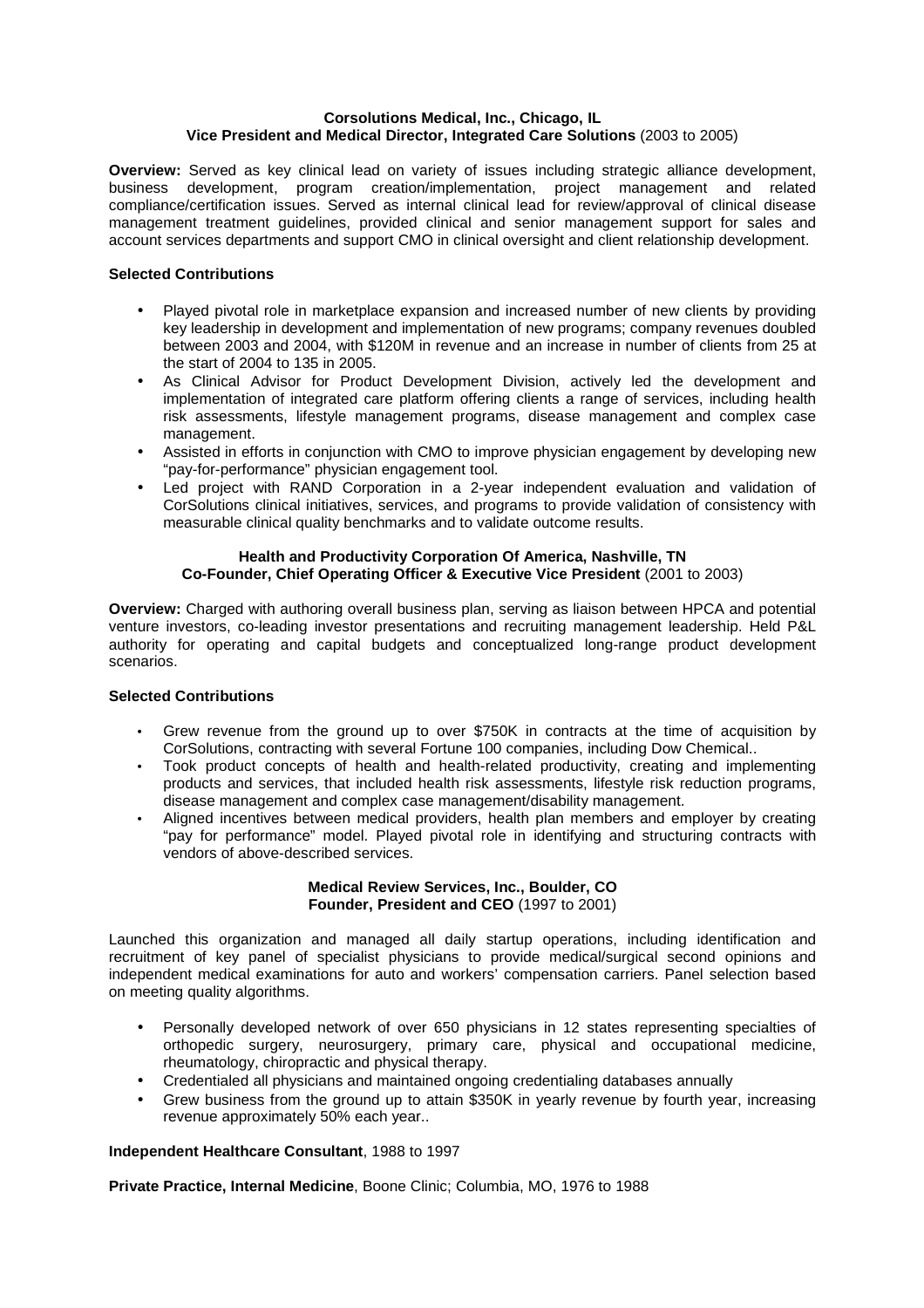#### **Corsolutions Medical, Inc., Chicago, IL Vice President and Medical Director, Integrated Care Solutions** (2003 to 2005)

**Overview:** Served as key clinical lead on variety of issues including strategic alliance development, business development, program creation/implementation, project management and related compliance/certification issues. Served as internal clinical lead for review/approval of clinical disease management treatment guidelines, provided clinical and senior management support for sales and account services departments and support CMO in clinical oversight and client relationship development.

#### **Selected Contributions**

- Played pivotal role in marketplace expansion and increased number of new clients by providing key leadership in development and implementation of new programs; company revenues doubled between 2003 and 2004, with \$120M in revenue and an increase in number of clients from 25 at the start of 2004 to 135 in 2005.
- As Clinical Advisor for Product Development Division, actively led the development and implementation of integrated care platform offering clients a range of services, including health risk assessments, lifestyle management programs, disease management and complex case management.
- Assisted in efforts in conjunction with CMO to improve physician engagement by developing new "pay-for-performance" physician engagement tool.
- Led project with RAND Corporation in a 2-year independent evaluation and validation of CorSolutions clinical initiatives, services, and programs to provide validation of consistency with measurable clinical quality benchmarks and to validate outcome results.

#### **Health and Productivity Corporation Of America, Nashville, TN Co-Founder, Chief Operating Officer & Executive Vice President** (2001 to 2003)

**Overview:** Charged with authoring overall business plan, serving as liaison between HPCA and potential venture investors, co-leading investor presentations and recruiting management leadership. Held P&L authority for operating and capital budgets and conceptualized long-range product development scenarios.

## **Selected Contributions**

- Grew revenue from the ground up to over \$750K in contracts at the time of acquisition by CorSolutions, contracting with several Fortune 100 companies, including Dow Chemical..
- Took product concepts of health and health-related productivity, creating and implementing products and services, that included health risk assessments, lifestyle risk reduction programs, disease management and complex case management/disability management.
- Aligned incentives between medical providers, health plan members and employer by creating "pay for performance" model. Played pivotal role in identifying and structuring contracts with vendors of above-described services.

#### **Medical Review Services, Inc., Boulder, CO Founder, President and CEO** (1997 to 2001)

Launched this organization and managed all daily startup operations, including identification and recruitment of key panel of specialist physicians to provide medical/surgical second opinions and independent medical examinations for auto and workers' compensation carriers. Panel selection based on meeting quality algorithms.

- Personally developed network of over 650 physicians in 12 states representing specialties of orthopedic surgery, neurosurgery, primary care, physical and occupational medicine, rheumatology, chiropractic and physical therapy.
- Credentialed all physicians and maintained ongoing credentialing databases annually
- Grew business from the ground up to attain \$350K in yearly revenue by fourth year, increasing revenue approximately 50% each year..

#### **Independent Healthcare Consultant**, 1988 to 1997

**Private Practice, Internal Medicine**, Boone Clinic; Columbia, MO, 1976 to 1988